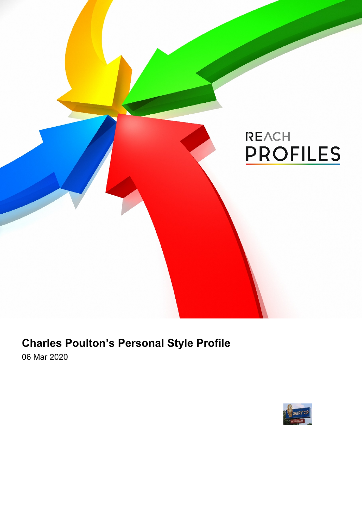

# **Charles Poulton's Personal Style Profile**

06 Mar 2020

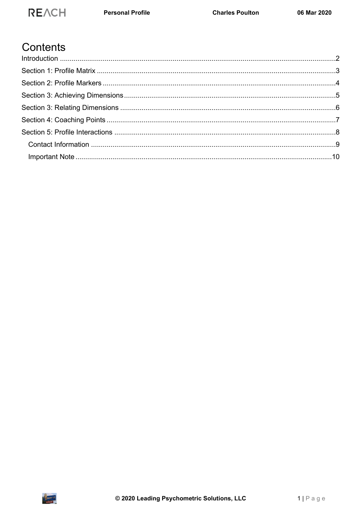## **REACH**

### Contents

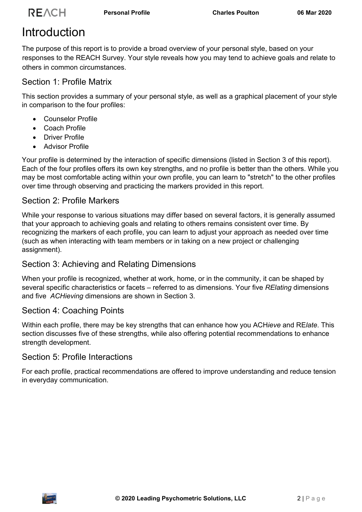# <span id="page-2-0"></span>**Introduction**

The purpose of this report is to provide a broad overview of your personal style, based on your responses to the REACH Survey. Your style reveals how you may tend to achieve goals and relate to others in common circumstances.

### Section 1: Profile Matrix

This section provides a summary of your personal style, as well as a graphical placement of your style in comparison to the four profiles:

- Counselor Profile
- Coach Profile
- **•** Driver Profile
- Advisor Profile

Your profile is determined by the interaction of specific dimensions (listed in Section 3 of this report). Each of the four profiles offers its own key strengths, and no profile is better than the others. While you may be most comfortable acting within your own profile, you can learn to "stretch" to the other profiles over time through observing and practicing the markers provided in this report.

### Section 2: Profile Markers

While your response to various situations may differ based on several factors, it is generally assumed that your approach to achieving goals and relating to others remains consistent over time. By recognizing the markers of each profile, you can learn to adjust your approach as needed over time (such as when interacting with team members or in taking on a new project or challenging assignment).

### Section 3: Achieving and Relating Dimensions

When your profile is recognized, whether at work, home, or in the community, it can be shaped by several specific characteristics or facets – referred to as dimensions. Your five *RElating* dimensions and five *ACHieving* dimensions are shown in Section 3.

### Section 4: Coaching Points

Within each profile, there may be key strengths that can enhance how you ACH*ieve* and RE*late*. This section discusses five of these strengths, while also offering potential recommendations to enhance strength development.

### Section 5: Profile Interactions

For each profile, practical recommendations are offered to improve understanding and reduce tension in everyday communication.

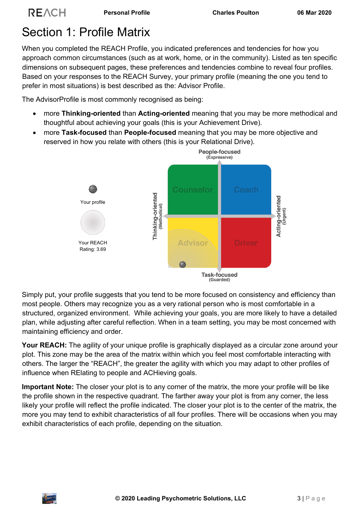## <span id="page-3-0"></span>Section 1: Profile Matrix

When you completed the REACH Profile, you indicated preferences and tendencies for how you approach common circumstances (such as at work, home, or in the community). Listed as ten specific dimensions on subsequent pages, these preferences and tendencies combine to reveal four profiles. Based on your responses to the REACH Survey, your primary profile (meaning the one you tend to prefer in most situations) is best described as the: Advisor Profile.

The AdvisorProfile is most commonly recognised as being:

- more **Thinking-oriented** than **Acting-oriented** meaning that you may be more methodical and thoughtful about achieving your goals (this is your Achievement Drive).
- more **Task-focused** than **People-focused** meaning that you may be more objective and reserved in how you relate with others (this is your Relational Drive).



Simply put, your profile suggests that you tend to be more focused on consistency and efficiency than most people. Others may recognize you as a very rational person who is most comfortable in a structured, organized environment. While achieving your goals, you are more likely to have a detailed plan, while adjusting after careful reflection. When in a team setting, you may be most concerned with maintaining efficiency and order.

**Your REACH:** The agility of your unique profile is graphically displayed as a circular zone around your plot. This zone may be the area of the matrix within which you feel most comfortable interacting with others. The larger the "REACH", the greater the agility with which you may adapt to other profiles of influence when RElating to people and ACHieving goals.

**Important Note:** The closer your plot is to any corner of the matrix, the more your profile will be like the profile shown in the respective quadrant. The farther away your plot is from any corner, the less likely your profile will reflect the profile indicated. The closer your plot is to the center of the matrix, the more you may tend to exhibit characteristics of all four profiles. There will be occasions when you may exhibit characteristics of each profile, depending on the situation.

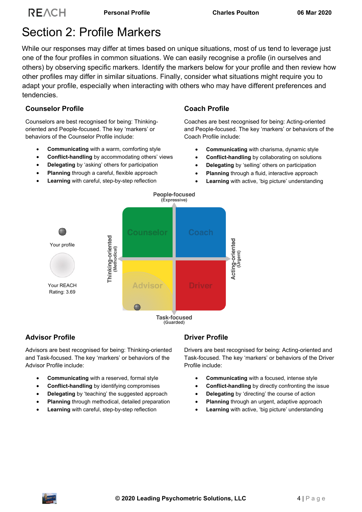## <span id="page-4-0"></span>Section 2: Profile Markers

While our responses may differ at times based on unique situations, most of us tend to leverage just one of the four profiles in common situations. We can easily recognise a profile (in ourselves and others) by observing specific markers. Identify the markers below for your profile and then review how other profiles may differ in similar situations. Finally, consider what situations might require you to adapt your profile, especially when interacting with others who may have different preferences and tendencies.

#### **Counselor Profile**

Counselors are best recognised for being: Thinkingoriented and People-focused. The key 'markers' or behaviors of the Counselor Profile include:

- **Communicating** with a warm, comforting style
- **Conflict-handling** by accommodating others' views
- **Delegating** by 'asking' others for participation
- **Planning** through a careful, flexible approach
- **Learning** with careful, step-by-step reflection

#### **Coach Profile**

Coaches are best recognised for being: Acting-oriented and People-focused. The key 'markers' or behaviors of the Coach Profile include:

- **Communicating** with charisma, dynamic style
- **Conflict-handling** by collaborating on solutions
- **Delegating** by 'selling' others on participation
- **Planning** through a fluid, interactive approach
- **Learning** with active, 'big picture' understanding



#### **Advisor Profile**

Advisors are best recognised for being: Thinking-oriented and Task-focused. The key 'markers' or behaviors of the Advisor Profile include:

- **Communicating** with a reserved, formal style
- **Conflict-handling** by identifying compromises
- **Delegating** by 'teaching' the suggested approach
- **Planning** through methodical, detailed preparation
- **Learning** with careful, step-by-step reflection

#### **Driver Profile**

Drivers are best recognised for being: Acting-oriented and Task-focused. The key 'markers' or behaviors of the Driver Profile include:

- **Communicating** with a focused, intense style
- **Conflict-handling** by directly confronting the issue
- **Delegating** by 'directing' the course of action
- **Planning** through an urgent, adaptive approach
- **Learning** with active, 'big picture' understanding

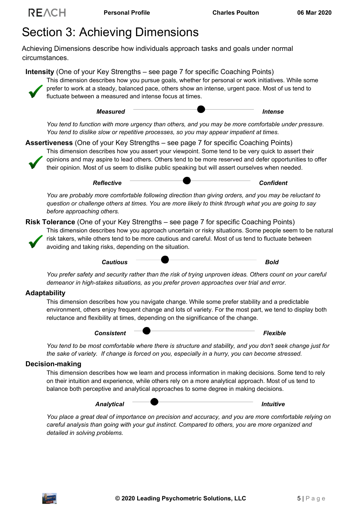## <span id="page-5-0"></span>Section 3: Achieving Dimensions

Achieving Dimensions describe how individuals approach tasks and goals under normal circumstances.

**Intensity** (One of your Key Strengths – see page 7 for specific Coaching Points) This dimension describes how you pursue goals, whether for personal or work initiatives. While some prefer to work at a steady, balanced pace, others show an intense, urgent pace. Most of us tend to fluctuate between a measured and intense focus at times.



*You tend to function with more urgency than others, and you may be more comfortable under pressure. You tend to dislike slow or repetitive processes, so you may appear impatient at times.*

**Assertiveness** (One of your Key Strengths – see page 7 for specific Coaching Points)



This dimension describes how you assert your viewpoint. Some tend to be very quick to assert their opinions and may aspire to lead others. Others tend to be more reserved and defer opportunities to offer their opinion. Most of us seem to dislike public speaking but will assert ourselves when needed.

*Reflective Confident*

*You are probably more comfortable following direction than giving orders, and you may be reluctant to question or challenge others at times. You are more likely to think through what you are going to say before approaching others.*

#### **Risk Tolerance** (One of your Key Strengths – see page 7 for specific Coaching Points)



This dimension describes how you approach uncertain or risky situations. Some people seem to be natural risk takers, while others tend to be more cautious and careful. Most of us tend to fluctuate between avoiding and taking risks, depending on the situation.



*You prefer safety and security rather than the risk of trying unproven ideas. Others count on your careful demeanor in high-stakes situations, as you prefer proven approaches over trial and error.*

#### **Adaptability**

This dimension describes how you navigate change. While some prefer stability and a predictable environment, others enjoy frequent change and lots of variety. For the most part, we tend to display both reluctance and flexibility at times, depending on the significance of the change.



*You tend to be most comfortable where there is structure and stability, and you don't seek change just for the sake of variety. If change is forced on you, especially in a hurry, you can become stressed.* 

#### **Decision-making**

This dimension describes how we learn and process information in making decisions. Some tend to rely on their intuition and experience, while others rely on a more analytical approach. Most of us tend to balance both perceptive and analytical approaches to some degree in making decisions.



*You place a great deal of importance on precision and accuracy, and you are more comfortable relying on careful analysis than going with your gut instinct. Compared to others, you are more organized and detailed in solving problems.*

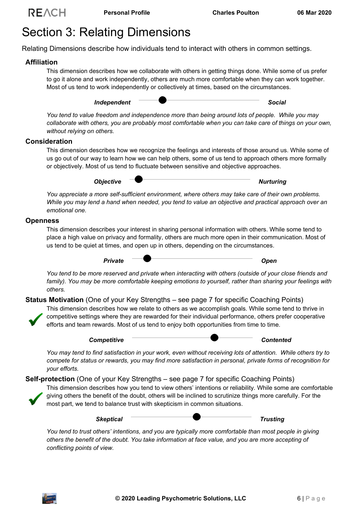## <span id="page-6-0"></span>Section 3: Relating Dimensions

Relating Dimensions describe how individuals tend to interact with others in common settings.

#### **Affiliation**

This dimension describes how we collaborate with others in getting things done. While some of us prefer to go it alone and work independently, others are much more comfortable when they can work together. Most of us tend to work independently or collectively at times, based on the circumstances.

*Independent Social*

*You tend to value freedom and independence more than being around lots of people. While you may collaborate with others, you are probably most comfortable when you can take care of things on your own, without relying on others.* 

#### **Consideration**

This dimension describes how we recognize the feelings and interests of those around us. While some of us go out of our way to learn how we can help others, some of us tend to approach others more formally or objectively. Most of us tend to fluctuate between sensitive and objective approaches.

**Objective COLLEGATION Nurturing** 

*You appreciate a more self-sufficient environment, where others may take care of their own problems. While you may lend a hand when needed, you tend to value an objective and practical approach over an emotional one.*

#### **Openness**

This dimension describes your interest in sharing personal information with others. While some tend to place a high value on privacy and formality, others are much more open in their communication. Most of us tend to be quiet at times, and open up in others, depending on the circumstances.

Private **Demonstration of** *Private* Open

*You tend to be more reserved and private when interacting with others (outside of your close friends and family). You may be more comfortable keeping emotions to yourself, rather than sharing your feelings with others.*

**Status Motivation** (One of your Key Strengths – see page 7 for specific Coaching Points)



*Competitive Contented*

*You may tend to find satisfaction in your work, even without receiving lots of attention. While others try to compete for status or rewards, you may find more satisfaction in personal, private forms of recognition for your efforts.*

**Self-protection** (One of your Key Strengths – see page 7 for specific Coaching Points)

This dimension describes how you tend to view others' intentions or reliability. While some are comfortable giving others the benefit of the doubt, others will be inclined to scrutinize things more carefully. For the most part, we tend to balance trust with skepticism in common situations.



*You tend to trust others' intentions, and you are typically more comfortable than most people in giving others the benefit of the doubt. You take information at face value, and you are more accepting of conflicting points of view.*

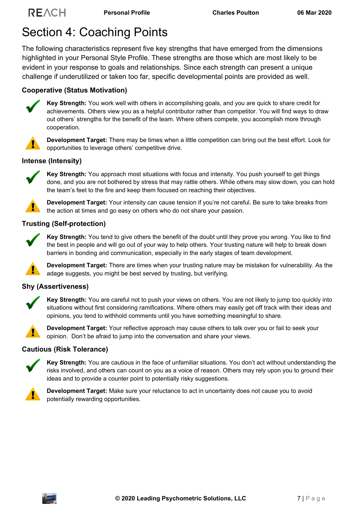## <span id="page-7-0"></span>Section 4: Coaching Points

The following characteristics represent five key strengths that have emerged from the dimensions highlighted in your Personal Style Profile. These strengths are those which are most likely to be evident in your response to goals and relationships. Since each strength can present a unique challenge if underutilized or taken too far, specific developmental points are provided as well.

### **Cooperative (Status Motivation)**



**Key Strength:** You work well with others in accomplishing goals, and you are quick to share credit for achievements. Others view you as a helpful contributor rather than competitor. You will find ways to draw out others' strengths for the benefit of the team. Where others compete, you accomplish more through cooperation.

**Development Target:** There may be times when a little competition can bring out the best effort. Look for opportunities to leverage others' competitive drive.

#### **Intense (Intensity)**



**Key Strength:** You approach most situations with focus and intensity. You push yourself to get things done, and you are not bothered by stress that may rattle others. While others may slow down, you can hold the team's feet to the fire and keep them focused on reaching their objectives.

**Development Target:** Your intensity can cause tension if you're not careful. Be sure to take breaks from the action at times and go easy on others who do not share your passion.

#### **Trusting (Self-protection)**



**Key Strength:** You tend to give others the benefit of the doubt until they prove you wrong. You like to find the best in people and will go out of your way to help others. Your trusting nature will help to break down barriers in bonding and communication, especially in the early stages of team development.

**Development Target:** There are times when your trusting nature may be mistaken for vulnerability. As the adage suggests, you might be best served by trusting, but verifying.

#### **Shy (Assertiveness)**



**Key Strength:** You are careful not to push your views on others. You are not likely to jump too quickly into situations without first considering ramifications. Where others may easily get off track with their ideas and opinions, you tend to withhold comments until you have something meaningful to share.



**Development Target:** Your reflective approach may cause others to talk over you or fail to seek your opinion. Don't be afraid to jump into the conversation and share your views.

#### **Cautious (Risk Tolerance)**



**Key Strength:** You are cautious in the face of unfamiliar situations. You don't act without understanding the risks involved, and others can count on you as a voice of reason. Others may rely upon you to ground their ideas and to provide a counter point to potentially risky suggestions.



**Development Target:** Make sure your reluctance to act in uncertainty does not cause you to avoid potentially rewarding opportunities.

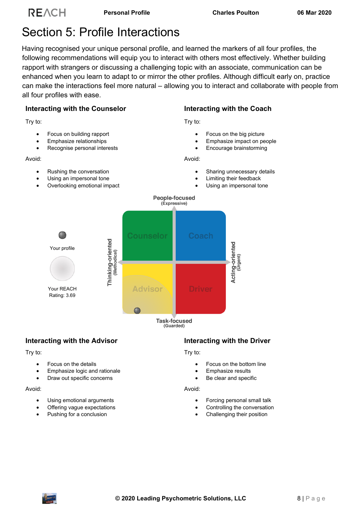## <span id="page-8-0"></span>Section 5: Profile Interactions

Having recognised your unique personal profile, and learned the markers of all four profiles, the following recommendations will equip you to interact with others most effectively. Whether building rapport with strangers or discussing a challenging topic with an associate, communication can be enhanced when you learn to adapt to or mirror the other profiles. Although difficult early on, practice can make the interactions feel more natural – allowing you to interact and collaborate with people from all four profiles with ease.

#### **Interacting with the Counselor**

Try to:

- Focus on building rapport
- Emphasize relationships
- Recognise personal interests

Avoid:

- Rushing the conversation
- Using an impersonal tone
- Overlooking emotional impact

**Interacting with the Coach**

Try to:

- Focus on the big picture
- Emphasize impact on people
- Encourage brainstorming

Avoid:

- Sharing unnecessary details
- Limiting their feedback
- Using an impersonal tone



### **Interacting with the Advisor**

Try to:

- Focus on the details
- Emphasize logic and rationale
- Draw out specific concerns

Avoid:

- Using emotional arguments
- Offering vague expectations
- Pushing for a conclusion

#### **Interacting with the Driver**

#### Try to:

- Focus on the bottom line
- Emphasize results
- Be clear and specific

#### Avoid:

- Forcing personal small talk
- Controlling the conversation
- Challenging their position

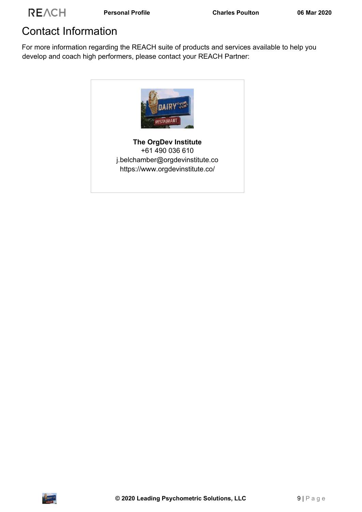## <span id="page-9-0"></span>Contact Information

For more information regarding the REACH suite of products and services available to help you develop and coach high performers, please contact your REACH Partner: